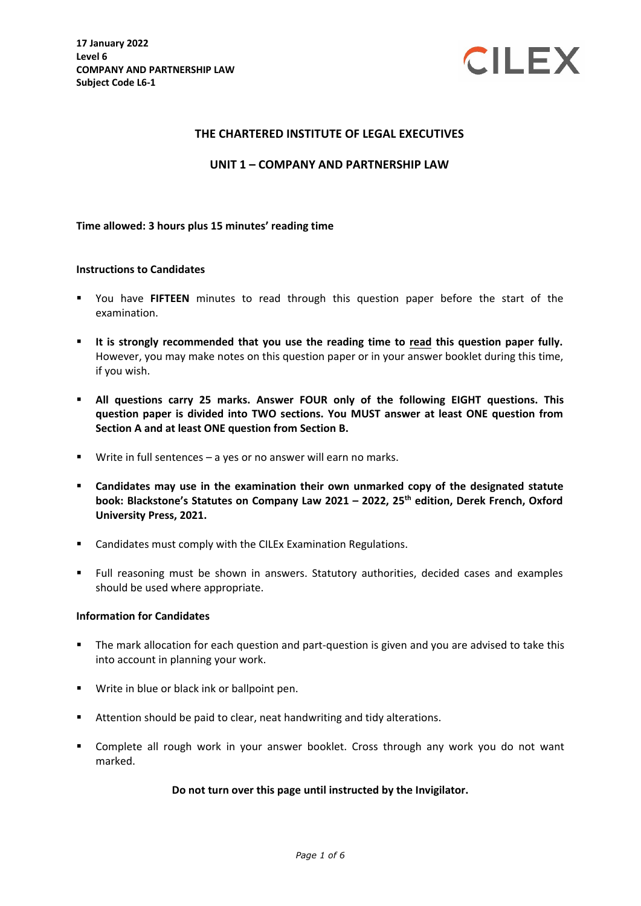

### **THE CHARTERED INSTITUTE OF LEGAL EXECUTIVES**

#### **UNIT 1 – COMPANY AND PARTNERSHIP LAW**

#### **Time allowed: 3 hours plus 15 minutes' reading time**

#### **Instructions to Candidates**

- You have **FIFTEEN** minutes to read through this question paper before the start of the examination.
- **It is strongly recommended that you use the reading time to read this question paper fully.** However, you may make notes on this question paper or in your answer booklet during this time, if you wish.
- **All questions carry 25 marks. Answer FOUR only of the following EIGHT questions. This question paper is divided into TWO sections. You MUST answer at least ONE question from Section A and at least ONE question from Section B.**
- Write in full sentences a yes or no answer will earn no marks.
- **Candidates may use in the examination their own unmarked copy of the designated statute book: Blackstone's Statutes on Company Law 2021 – 2022, 25 th edition, Derek French, Oxford University Press, 2021.**
- **EXEC** Candidates must comply with the CILEx Examination Regulations.
- Full reasoning must be shown in answers. Statutory authorities, decided cases and examples should be used where appropriate.

#### **Information for Candidates**

- The mark allocation for each question and part-question is given and you are advised to take this into account in planning your work.
- **Write in blue or black ink or ballpoint pen.**
- **E** Attention should be paid to clear, neat handwriting and tidy alterations.
- Complete all rough work in your answer booklet. Cross through any work you do not want marked.

#### **Do not turn over this page until instructed by the Invigilator.**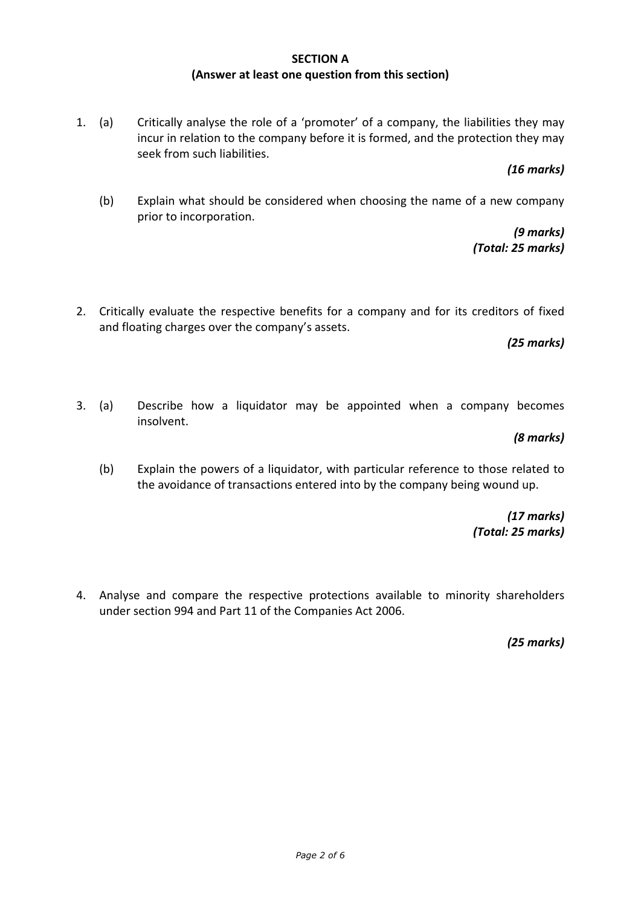## **SECTION A (Answer at least one question from this section)**

1. (a) Critically analyse the role of a 'promoter' of a company, the liabilities they may incur in relation to the company before it is formed, and the protection they may seek from such liabilities.

*(16 marks)*

(b) Explain what should be considered when choosing the name of a new company prior to incorporation.

> *(9 marks) (Total: 25 marks)*

2. Critically evaluate the respective benefits for a company and for its creditors of fixed and floating charges over the company's assets.

*(25 marks)*

3. (a) Describe how a liquidator may be appointed when a company becomes insolvent.

*(8 marks)*

(b) Explain the powers of a liquidator, with particular reference to those related to the avoidance of transactions entered into by the company being wound up.

> *(17 marks) (Total: 25 marks)*

4. Analyse and compare the respective protections available to minority shareholders under section 994 and Part 11 of the Companies Act 2006.

*(25 marks)*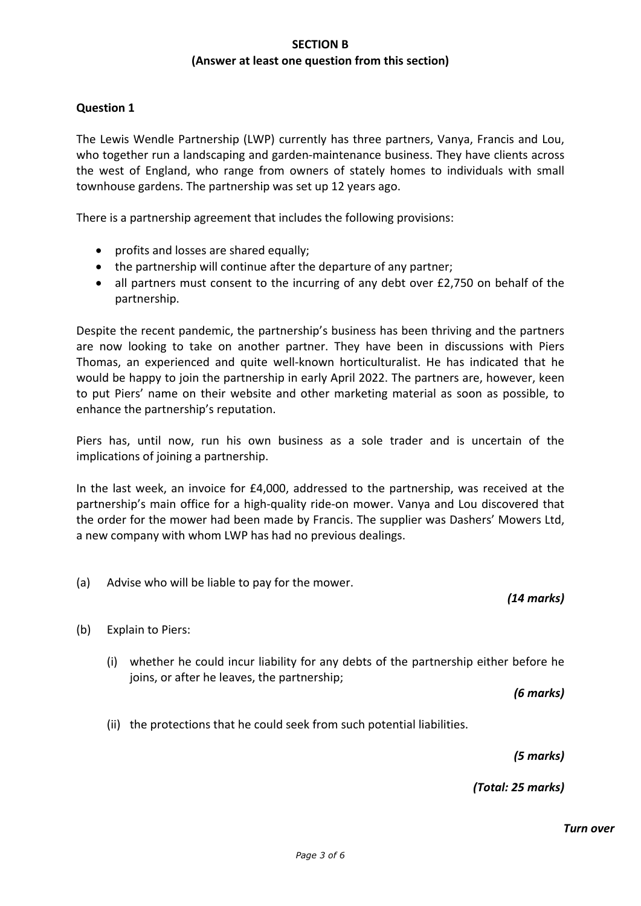## **SECTION B (Answer at least one question from this section)**

## **Question 1**

The Lewis Wendle Partnership (LWP) currently has three partners, Vanya, Francis and Lou, who together run a landscaping and garden-maintenance business. They have clients across the west of England, who range from owners of stately homes to individuals with small townhouse gardens. The partnership was set up 12 years ago.

There is a partnership agreement that includes the following provisions:

- profits and losses are shared equally;
- the partnership will continue after the departure of any partner;
- all partners must consent to the incurring of any debt over £2,750 on behalf of the partnership.

Despite the recent pandemic, the partnership's business has been thriving and the partners are now looking to take on another partner. They have been in discussions with Piers Thomas, an experienced and quite well-known horticulturalist. He has indicated that he would be happy to join the partnership in early April 2022. The partners are, however, keen to put Piers' name on their website and other marketing material as soon as possible, to enhance the partnership's reputation.

Piers has, until now, run his own business as a sole trader and is uncertain of the implications of joining a partnership.

In the last week, an invoice for £4,000, addressed to the partnership, was received at the partnership's main office for a high-quality ride-on mower. Vanya and Lou discovered that the order for the mower had been made by Francis. The supplier was Dashers' Mowers Ltd, a new company with whom LWP has had no previous dealings.

(a) Advise who will be liable to pay for the mower.

*(14 marks)* 

- (b) Explain to Piers:
	- (i) whether he could incur liability for any debts of the partnership either before he joins, or after he leaves, the partnership;

*(6 marks)*

(ii) the protections that he could seek from such potential liabilities.

*(5 marks)*

*(Total: 25 marks)*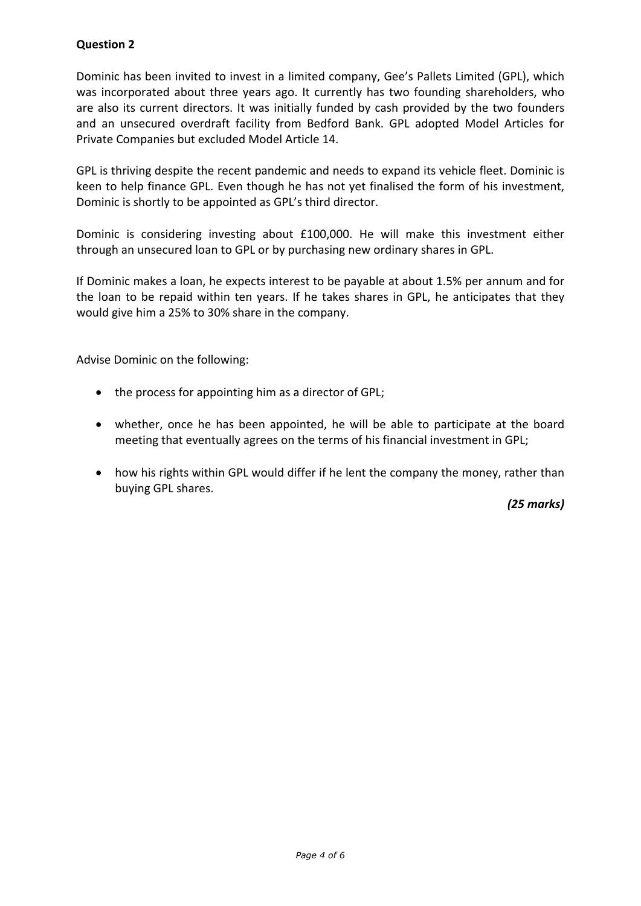# **Question 2**

Dominic has been invited to invest in a limited company, Gee's Pallets Limited (GPL), which was incorporated about three years ago. It currently has two founding shareholders, who are also its current directors. It was initially funded by cash provided by the two founders and an unsecured overdraft facility from Bedford Bank. GPL adopted Model Articles for Private Companies but excluded Model Article 14.

GPL is thriving despite the recent pandemic and needs to expand its vehicle fleet. Dominic is keen to help finance GPL. Even though he has not yet finalised the form of his investment, Dominic is shortly to be appointed as GPL's third director.

Dominic is considering investing about £100,000. He will make this investment either through an unsecured loan to GPL or by purchasing new ordinary shares in GPL.

If Dominic makes a loan, he expects interest to be payable at about 1.5% per annum and for the loan to be repaid within ten years. If he takes shares in GPL, he anticipates that they would give him a 25% to 30% share in the company.

Advise Dominic on the following:

- the process for appointing him as a director of GPL;
- whether, once he has been appointed, he will be able to participate at the board meeting that eventually agrees on the terms of his financial investment in GPL;
- how his rights within GPL would differ if he lent the company the money, rather than buying GPL shares.

*(25 marks)*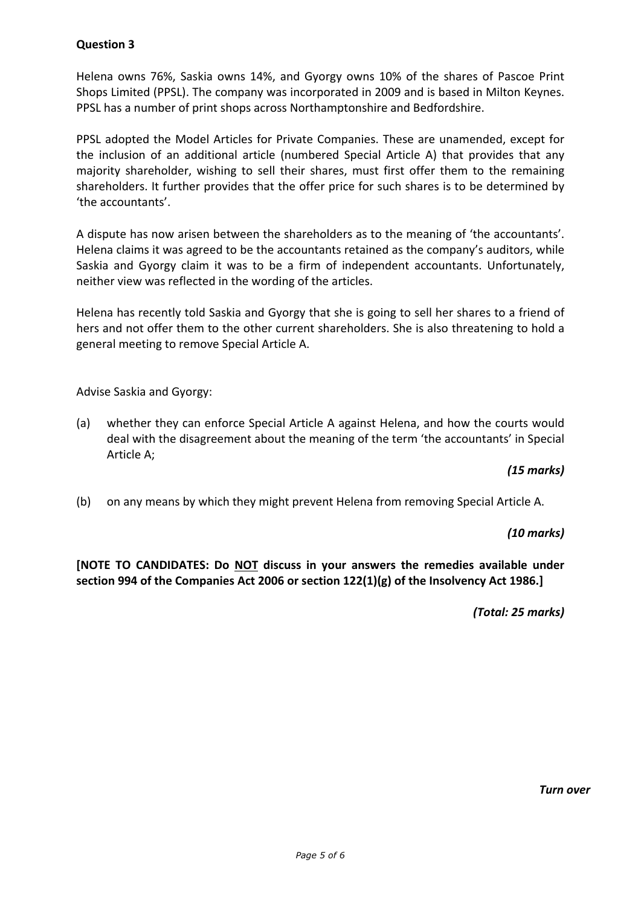# **Question 3**

Helena owns 76%, Saskia owns 14%, and Gyorgy owns 10% of the shares of Pascoe Print Shops Limited (PPSL). The company was incorporated in 2009 and is based in Milton Keynes. PPSL has a number of print shops across Northamptonshire and Bedfordshire.

PPSL adopted the Model Articles for Private Companies. These are unamended, except for the inclusion of an additional article (numbered Special Article A) that provides that any majority shareholder, wishing to sell their shares, must first offer them to the remaining shareholders. It further provides that the offer price for such shares is to be determined by 'the accountants'.

A dispute has now arisen between the shareholders as to the meaning of 'the accountants'. Helena claims it was agreed to be the accountants retained as the company's auditors, while Saskia and Gyorgy claim it was to be a firm of independent accountants. Unfortunately, neither view was reflected in the wording of the articles.

Helena has recently told Saskia and Gyorgy that she is going to sell her shares to a friend of hers and not offer them to the other current shareholders. She is also threatening to hold a general meeting to remove Special Article A.

Advise Saskia and Gyorgy:

(a) whether they can enforce Special Article A against Helena, and how the courts would deal with the disagreement about the meaning of the term 'the accountants' in Special Article A;

# *(15 marks)*

(b) on any means by which they might prevent Helena from removing Special Article A.

### *(10 marks)*

**[NOTE TO CANDIDATES: Do NOT discuss in your answers the remedies available under section 994 of the Companies Act 2006 or section 122(1)(g) of the Insolvency Act 1986.]** 

*(Total: 25 marks)*